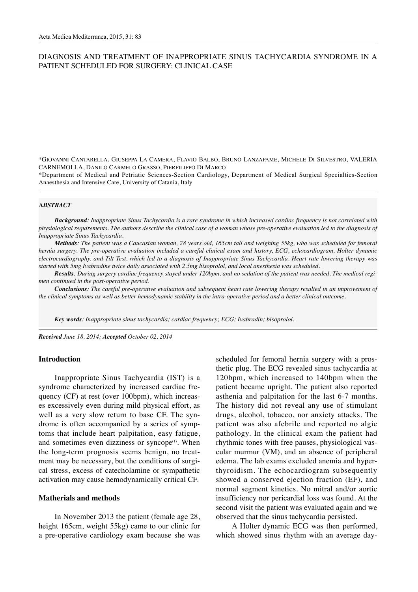# DIAGNOSIS AND TREATMENT OF INAPPROPRIATE SINUS TACHYCARDIA SYNDROME IN A PATIENT SCHEDULED FOR SURGERY: CLINICAL CASE

\*GIOVANNI CANTARELLA, GIUSEPPA LA CAMERA, FLAVIO BALBO, BRUNO LANZAFAME, MICHELE DI SILVESTRO, VALERIA CARNEMOLLA, DANILO CARMELO GRASSO, PIERFILIPPO DI MARCO

\*Department of Medical and Petriatic Sciences-Section Cardiology, Department of Medical Surgical Specialties-Section Anaesthesia and Intensive Care, University of Catania, Italy

#### **A***BSTRACT*

*Background: Inappropriate Sinus Tachycardia is a rare syndrome in which increased cardiac frequency is not correlated with physiological requirements. The authors describe the clinical case of a woman whose pre-operative evaluation led to the diagnosis of Inappropriate Sinus Tachycardia.*

*Methods: The patient was a Caucasian woman, 28 years old, 165cm tall and weighing 55kg, who was scheduled for femoral hernia surgery. The pre-operative evaluation included a careful clinical exam and history, ECG, echocardiogram, Holter dynamic electrocardiography, and Tilt Test, which led to a diagnosis of Inappropriate Sinus Tachycardia. Heart rate lowering therapy was started with 5mg Ivabradine twice daily associated with 2.5mg bisoprolol, and local anesthesia was scheduled.*

*Results: During surgery cardiac frequency stayed under 120bpm, and no sedation of the patient was needed. The medical regimen continued in the post-operative period.*

*Conclusions: The careful pre-operative evaluation and subsequent heart rate lowering therapy resulted in an improvement of the clinical symptoms as well as better hemodynamic stability in the intra-operative period and a better clinical outcome.*

*Key words: Inappropriate sinus tachycardia; cardiac frequency; ECG; Ivabradin; bisoprolol.*

*Received June 18, 2014; Accepted October 02, 2014*

#### **Introduction**

Inappropriate Sinus Tachycardia (IST) is a syndrome characterized by increased cardiac frequency (CF) at rest (over 100bpm), which increases excessively even during mild physical effort, as well as a very slow return to base CF. The syndrome is often accompanied by a series of symptoms that include heart palpitation, easy fatigue, and sometimes even dizziness or syncope<sup>(1)</sup>. When the long-term prognosis seems benign, no treatment may be necessary, but the conditions of surgical stress, excess of catecholamine or sympathetic activation may cause hemodynamically critical CF.

#### **Matherials and methods**

In November 2013 the patient (female age 28, height 165cm, weight 55kg) came to our clinic for a pre-operative cardiology exam because she was

scheduled for femoral hernia surgery with a prosthetic plug. The ECG revealed sinus tachycardia at 120bpm, which increased to 140bpm when the patient became upright. The patient also reported asthenia and palpitation for the last 6-7 months. The history did not reveal any use of stimulant drugs, alcohol, tobacco, nor anxiety attacks. The patient was also afebrile and reported no algic pathology. In the clinical exam the patient had rhythmic tones with free pauses, physiological vascular murmur (VM), and an absence of peripheral edema. The lab exams excluded anemia and hyperthyroidism. The echocardiogram subsequently showed a conserved ejection fraction (EF), and normal segment kinetics. No mitral and/or aortic insufficiency nor pericardial loss was found. At the second visit the patient was evaluated again and we observed that the sinus tachycardia persisted.

A Holter dynamic ECG was then performed, which showed sinus rhythm with an average day